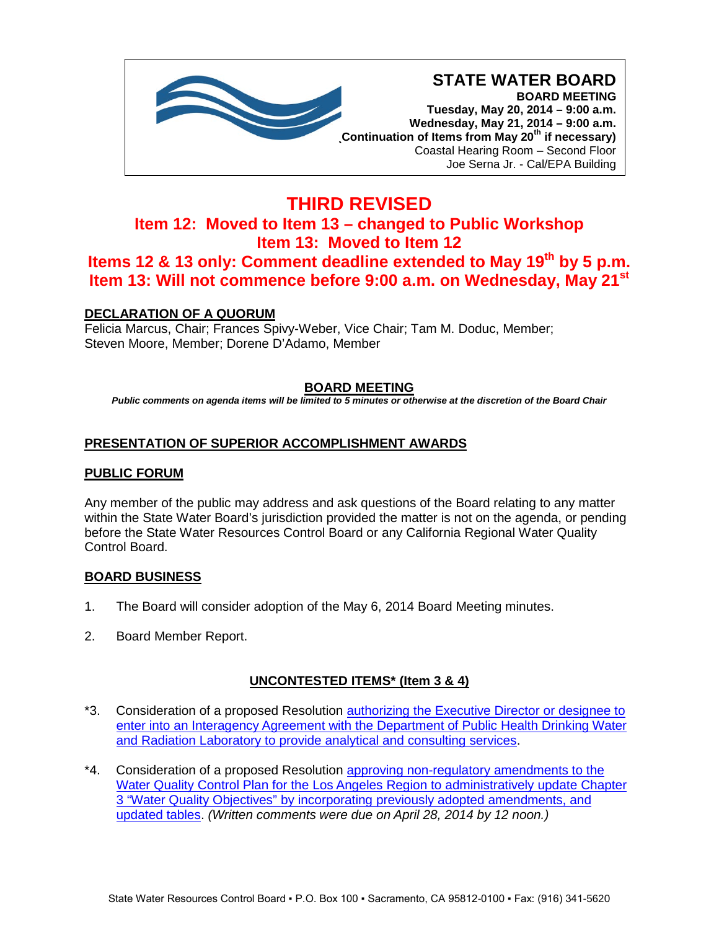

# **THIRD REVISED Item 12: Moved to Item 13 – changed to Public Workshop Item 13: Moved to Item 12 Items 12 & 13 only: Comment deadline extended to May 19th by 5 p.m. Item 13: Will not commence before 9:00 a.m. on Wednesday, May 21st**

## **DECLARATION OF A QUORUM**

Felicia Marcus, Chair; Frances Spivy-Weber, Vice Chair; Tam M. Doduc, Member; Steven Moore, Member; Dorene D'Adamo, Member

## **BOARD MEETING**

*Public comments on agenda items will be limited to 5 minutes or otherwise at the discretion of the Board Chair*

## **PRESENTATION OF SUPERIOR ACCOMPLISHMENT AWARDS**

## **PUBLIC FORUM**

Any member of the public may address and ask questions of the Board relating to any matter within the State Water Board's jurisdiction provided the matter is not on the agenda, or pending before the State Water Resources Control Board or any California Regional Water Quality Control Board.

## **BOARD BUSINESS**

- 1. The Board will consider adoption of the May 6, 2014 Board Meeting minutes.
- 2. Board Member Report.

## **UNCONTESTED ITEMS\* (Item 3 & 4)**

- \*3. Consideration of a proposed Resolution **authorizing the Executive Director or designee to** [enter into an Interagency Agreement with the Department of Public Health Drinking Water](http://www.waterboards.ca.gov/board_info/agendas/2014/may/052014_3_with_draft_resolution.pdf)  [and Radiation Laboratory to provide analytical and consulting services.](http://www.waterboards.ca.gov/board_info/agendas/2014/may/052014_3_with_draft_resolution.pdf)
- \*4. Consideration of a proposed Resolution [approving non-regulatory amendments to the](http://www.waterboards.ca.gov/board_info/agendas/2014/may/052014_4_with_draft_resolution.pdf)  [Water Quality Control Plan for the Los Angeles Region to administratively update Chapter](http://www.waterboards.ca.gov/board_info/agendas/2014/may/052014_4_with_draft_resolution.pdf)  [3 "Water Quality Objectives" by incorporating previously adopted amendments, and](http://www.waterboards.ca.gov/board_info/agendas/2014/may/052014_4_with_draft_resolution.pdf)  [updated tables.](http://www.waterboards.ca.gov/board_info/agendas/2014/may/052014_4_with_draft_resolution.pdf) *(Written comments were due on April 28, 2014 by 12 noon.)*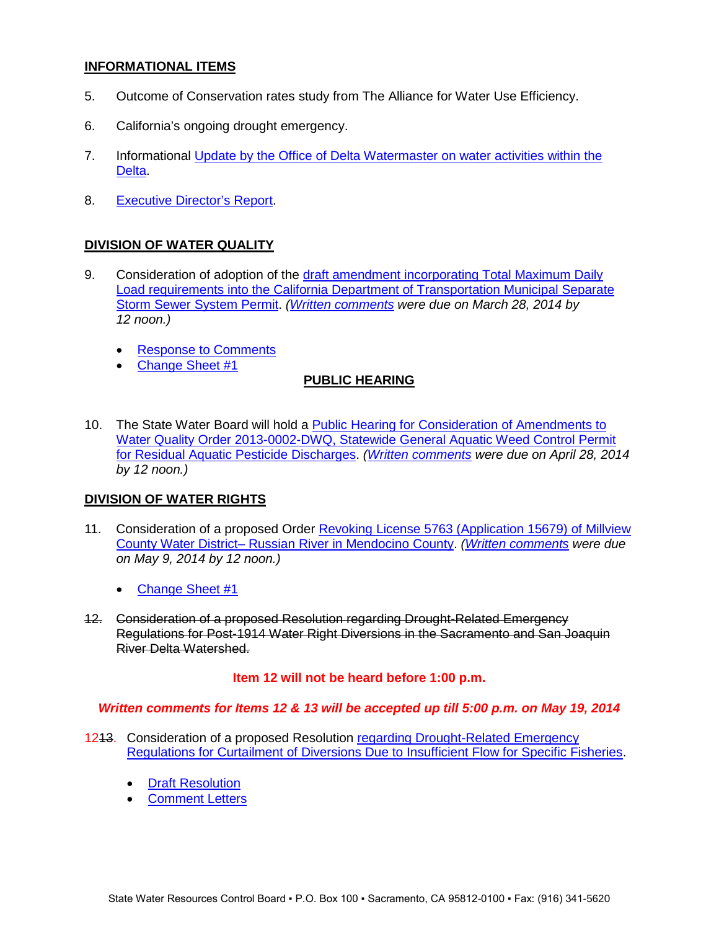## **INFORMATIONAL ITEMS**

- 5. Outcome of Conservation rates study from The Alliance for Water Use Efficiency.
- 6. California's ongoing drought emergency.
- 7. Informational [Update by the Office of Delta Watermaster on water activities within the](http://www.waterboards.ca.gov/board_info/agendas/2014/may/052014_7.pdf)  [Delta.](http://www.waterboards.ca.gov/board_info/agendas/2014/may/052014_7.pdf)
- 8. [Executive Director's Report.](http://www.waterboards.ca.gov/board_info/agendas/2014/may/ed_report052014.pdf)

## **DIVISION OF WATER QUALITY**

- 9. Consideration of adoption of the [draft amendment incorporating Total Maximum Daily](http://www.waterboards.ca.gov/board_info/agendas/2014/may/052014_9_with_draft_order.pdf)  [Load requirements into the California Department of Transportation Municipal Separate](http://www.waterboards.ca.gov/board_info/agendas/2014/may/052014_9_with_draft_order.pdf)  [Storm Sewer System Permit.](http://www.waterboards.ca.gov/board_info/agendas/2014/may/052014_9_with_draft_order.pdf) *[\(Written comments](http://www.waterboards.ca.gov/public_notices/comments/caltrans_permit_amend/index.shtml) were due on March 28, 2014 by 12 noon.)*
	- [Response to Comments](http://www.waterboards.ca.gov/board_info/agendas/2014/may/052014_9_response_comments.pdf)
	- [Change Sheet #1](http://www.waterboards.ca.gov/board_info/agendas/2014/may/052014_9_change_sheet1.pdf)

## **PUBLIC HEARING**

10. The State Water Board will hold a **Public Hearing for Consideration of Amendments to** [Water Quality Order 2013-0002-DWQ, Statewide General Aquatic Weed Control Permit](http://www.waterboards.ca.gov/board_info/agendas/2014/may/052014_10_with_draft_order.pdf)  [for Residual Aquatic Pesticide Discharges.](http://www.waterboards.ca.gov/board_info/agendas/2014/may/052014_10_with_draft_order.pdf) *[\(Written comments](http://www.waterboards.ca.gov/water_issues/programs/npdes/pesticides/docs/weedcontrol/comments/comments_2014april.pdf) were due on April 28, 2014 by 12 noon.)*

## **DIVISION OF WATER RIGHTS**

- 11. Consideration of a proposed Order [Revoking License 5763 \(Application 15679\) of Millview](http://www.waterboards.ca.gov/board_info/agendas/2014/may/052014_11_with_draft_order.pdf)  County Water District– [Russian River in Mendocino County.](http://www.waterboards.ca.gov/board_info/agendas/2014/may/052014_11_with_draft_order.pdf) *[\(Written comments](http://www.waterboards.ca.gov/waterrights/water_issues/programs/hearings/millview_revocation/comments_050914.shtml) were due on May 9, 2014 by 12 noon.)*
	- [Change Sheet #1](http://www.waterboards.ca.gov/board_info/agendas/2014/may/052014_11_change%20sheet1.pdf)
- 12. Consideration of a proposed Resolution regarding Drought-Related Emergency Regulations for Post-1914 Water Right Diversions in the Sacramento and San Joaquin River Delta Watershed.

## **Item 12 will not be heard before 1:00 p.m.**

## *Written comments for Items 12 & 13 will be accepted up till 5:00 p.m. on May 19, 2014*

- 1213. Consideration of a proposed Resolution [regarding Drought-Related Emergency](http://www.waterboards.ca.gov/board_info/agendas/2014/may/052014_12.pdf)  [Regulations for Curtailment of Diversions Due to Insufficient Flow for Specific Fisheries.](http://www.waterboards.ca.gov/board_info/agendas/2014/may/052014_12.pdf)
	- [Draft Resolution](http://www.waterboards.ca.gov/board_info/agendas/2014/may/052014_12_draftresolution.pdf)
	- [Comment Letters](http://www.waterboards.ca.gov/waterrights/water_issues/programs/drought/comments052014/)